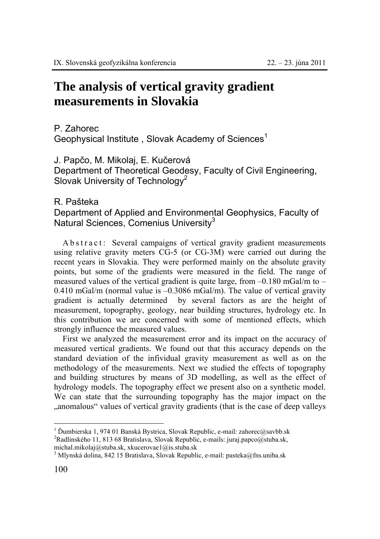## **The analysis of vertical gravity gradient measurements in Slovakia**

P. Zahorec

Geophysical Institute, Slovak Academy of Sciences<sup>1</sup>

J. Papčo, M. Mikolaj, E. Kučerová Department of Theoretical Geodesy, Faculty of Civil Engineering, Slovak University of Technology<sup>2</sup>

## R. Pašteka

Department of Applied and Environmental Geophysics, Faculty of Natural Sciences, Comenius University<sup>3</sup>

A b s t r a c t : Several campaigns of vertical gravity gradient measurements using relative gravity meters CG-5 (or CG-3M) were carried out during the recent years in Slovakia. They were performed mainly on the absolute gravity points, but some of the gradients were measured in the field. The range of measured values of the vertical gradient is quite large, from  $-0.180$  mGal/m to  $-$ 0.410 mGal/m (normal value is –0.3086 mGal/m). The value of vertical gravity gradient is actually determined by several factors as are the height of measurement, topography, geology, near building structures, hydrology etc. In this contribution we are concerned with some of mentioned effects, which strongly influence the measured values.

First we analyzed the measurement error and its impact on the accuracy of measured vertical gradients. We found out that this accuracy depends on the standard deviation of the infividual gravity measurement as well as on the methodology of the measurements. Next we studied the effects of topography and building structures by means of 3D modelling, as well as the effect of hydrology models. The topography effect we present also on a synthetic model. We can state that the surrounding topography has the major impact on the "anomalous" values of vertical gravity gradients (that is the case of deep valleys

 $\overline{a}$ 

<sup>1</sup> <sup>Ď</sup>umbierska 1, 974 01 Banská Bystrica, Slovak Republic, e-mail: zahorec@savbb.sk 2 <sup>2</sup>Radlinského 11, 813 68 Bratislava, Slovak Republic, e-mails: juraj.papco@stuba.sk,

michal.mikolaj@stuba.sk, xkucerovae1@is.stuba.sk 3

<sup>&</sup>lt;sup>3</sup> Mlynská dolina, 842 15 Bratislava, Slovak Republic, e-mail: pasteka@fns.uniba.sk